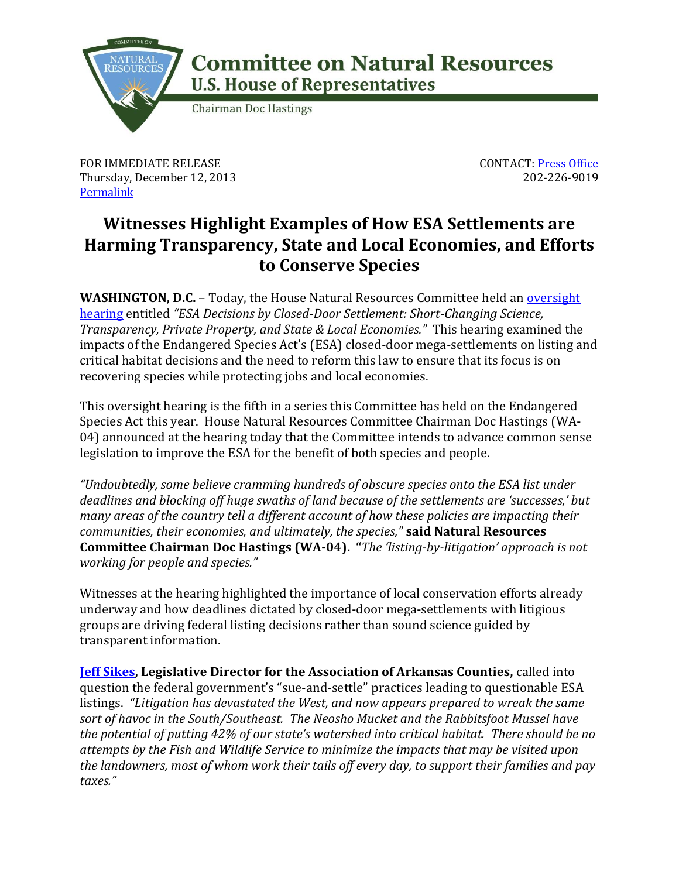

## **Committee on Natural Resources U.S. House of Representatives**

**Chairman Doc Hastings** 

FOR IMMEDIATE RELEASE Thursday, December 12, 2013 **[Permalink](http://naturalresources.house.gov/news/documentsingle.aspx?DocumentID=364253)** 

CONTACT: [Press Office](http://naturalresources.house.gov/contact/media.htm) 202-226-9019

## **Witnesses Highlight Examples of How ESA Settlements are Harming Transparency, State and Local Economies, and Efforts to Conserve Species**

**WASHINGTON, D.C.** – Today, the House Natural Resources Committee held an [oversight](http://naturalresources.house.gov/calendar/eventsingle.aspx?EventID=363649)  [hearing](http://naturalresources.house.gov/calendar/eventsingle.aspx?EventID=363649) entitled *"ESA Decisions by Closed-Door Settlement: Short-Changing Science, Transparency, Private Property, and State & Local Economies."* This hearing examined the impacts of the Endangered Species Act's (ESA) closed-door mega-settlements on listing and critical habitat decisions and the need to reform this law to ensure that its focus is on recovering species while protecting jobs and local economies.

This oversight hearing is the fifth in a series this Committee has held on the Endangered Species Act this year. House Natural Resources Committee Chairman Doc Hastings (WA-04) announced at the hearing today that the Committee intends to advance common sense legislation to improve the ESA for the benefit of both species and people.

*"Undoubtedly, some believe cramming hundreds of obscure species onto the ESA list under deadlines and blocking off huge swaths of land because of the settlements are 'successes,' but many areas of the country tell a different account of how these policies are impacting their communities, their economies, and ultimately, the species,"* **said Natural Resources Committee Chairman Doc Hastings (WA-04). "***The 'listing-by-litigation' approach is not working for people and species."*

Witnesses at the hearing highlighted the importance of local conservation efforts already underway and how deadlines dictated by closed-door mega-settlements with litigious groups are driving federal listing decisions rather than sound science guided by transparent information.

**[Jeff Sikes,](http://naturalresources.house.gov/uploadedfiles/sikestestimony12-12-13.pdf) Legislative Director for the Association of Arkansas Counties,** called into question the federal government's "sue-and-settle" practices leading to questionable ESA listings. *"Litigation has devastated the West, and now appears prepared to wreak the same sort of havoc in the South/Southeast. The Neosho Mucket and the Rabbitsfoot Mussel have the potential of putting 42% of our state's watershed into critical habitat. There should be no attempts by the Fish and Wildlife Service to minimize the impacts that may be visited upon the landowners, most of whom work their tails off every day, to support their families and pay taxes."*